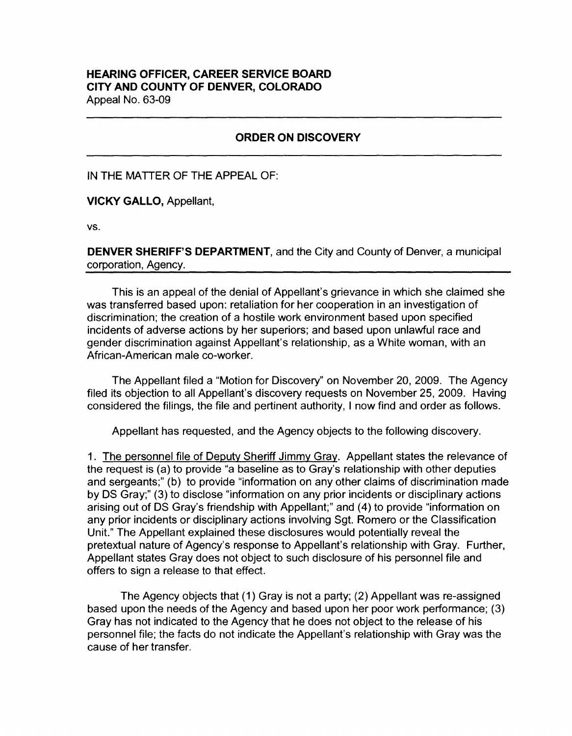## **HEARING OFFICER, CAREER SERVICE BOARD CITY AND COUNTY OF DENVER, COLORADO**  Appeal No. 63-09

## **ORDER ON DISCOVERY**

IN THE MATTER OF THE APPEAL OF:

**VICKY GALLO,** Appellant,

vs.

**DENVER SHERIFF'S DEPARTMENT,** and the City and County of Denver, a municipal corporation, Agency.

This is an appeal of the denial of Appellant's grievance in which she claimed she was transferred based upon: retaliation for her cooperation in an investigation of discrimination; the creation of a hostile work environment based upon specified incidents of adverse actions by her superiors; and based upon unlawful race and gender discrimination against Appellant's relationship, as a White woman, with an African-American male co-worker.

The Appellant filed a "Motion for Discovery" on November 20, 2009. The Agency filed its objection to all Appellant's discovery requests on November 25, 2009. Having considered the filings, the file and pertinent authority, I now find and order as follows.

Appellant has requested, and the Agency objects to the following discovery.

1. The personnel file of Deputy Sheriff Jimmy Gray. Appellant states the relevance of the request is (a) to provide "a baseline as to Gray's relationship with other deputies and sergeants;" (b) to provide "information on any other claims of discrimination made by OS Gray;" (3) to disclose "information on any prior incidents or disciplinary actions arising out of OS Gray's friendship with Appellant;" and (4) to provide "information on any prior incidents or disciplinary actions involving Sgt. Romero or the Classification Unit." The Appellant explained these disclosures would potentially reveal the pretextual nature of Agency's response to Appellant's relationship with Gray. Further, Appellant states Gray does not object to such disclosure of his personnel file and offers to sign a release to that effect.

The Agency objects that (1) Gray is not a party; (2) Appellant was re-assigned based upon the needs of the Agency and based upon her poor work performance; (3) Gray has not indicated to the Agency that he does not object to the release of his personnel file; the facts do not indicate the Appellant's relationship with Gray was the cause of her transfer.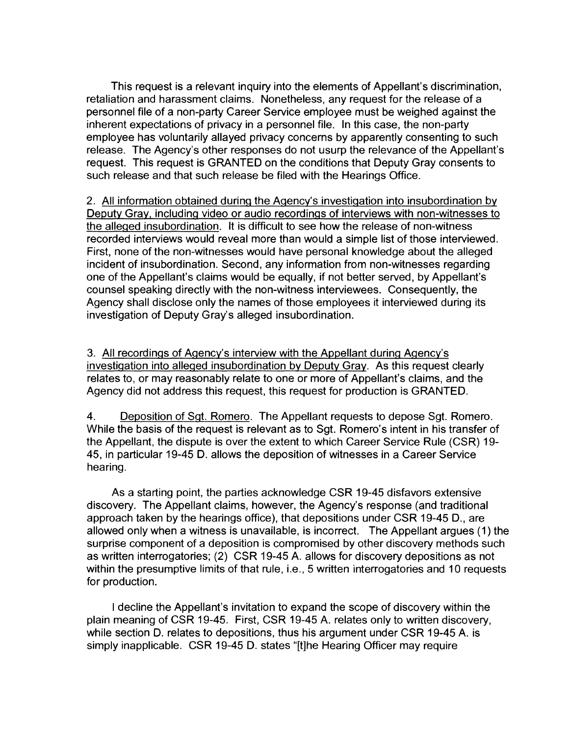This request is a relevant inquiry into the elements of Appellant's discrimination, retaliation and harassment claims. Nonetheless, any request for the release of a personnel file of a non-party Career Service employee must be weighed against the inherent expectations of privacy in a personnel file. In this case, the non-party employee has voluntarily allayed privacy concerns by apparently consenting to such release. The Agency's other responses do not usurp the relevance of the Appellant's request. This request is GRANTED on the conditions that Deputy Gray consents to such release and that such release be filed with the Hearings Office.

2. All information obtained during the Agency's investigation into insubordination by Deputy Gray, including video or audio recordings of interviews with non-witnesses to the alleged insubordination. It is difficult to see how the release of non-witness recorded interviews would reveal more than would a simple list of those interviewed. First, none of the non-witnesses would have personal knowledge about the alleged incident of insubordination. Second, any information from non-witnesses regarding one of the Appellant's claims would be equally, if not better served, by Appellant's counsel speaking directly with the non-witness interviewees. Consequently, the Agency shall disclose only the names of those employees it interviewed during its investigation of Deputy Gray's alleged insubordination.

3. All recordings of Agency's interview with the Appellant during Agency's investigation into alleged insubordination by Deputy Gray. As this request clearly relates to, or may reasonably relate to one or more of Appellant's claims, and the Agency did not address this request, this request for production is GRANTED.

4. Deposition of Sgt. Romero. The Appellant requests to depose Sgt. Romero. While the basis of the request is relevant as to Sgt. Romero's intent in his transfer of the Appellant, the dispute is over the extent to which Career Service Rule (CSR) 19- 45, in particular 19-45 D. allows the deposition of witnesses in a Career Service hearing.

As a starting point, the parties acknowledge CSR 19-45 disfavors extensive discovery. The Appellant claims, however, the Agency's response (and traditional approach taken by the hearings office), that depositions under CSR 19-45 D., are allowed only when a witness is unavailable, is incorrect. The Appellant argues (1) the surprise component of a deposition is compromised by other discovery methods such as written interrogatories; (2) CSR 19-45 A. allows for discovery depositions as not within the presumptive limits of that rule, i.e., 5 written interrogatories and 10 requests for production.

I decline the Appellant's invitation to expand the scope of discovery within the plain meaning of CSR 19-45. First, CSR 19-45 A. relates only to written discovery, while section D. relates to depositions, thus his argument under CSR 19-45 A. is simply inapplicable. CSR 19-45 D. states "[t)he Hearing Officer may require